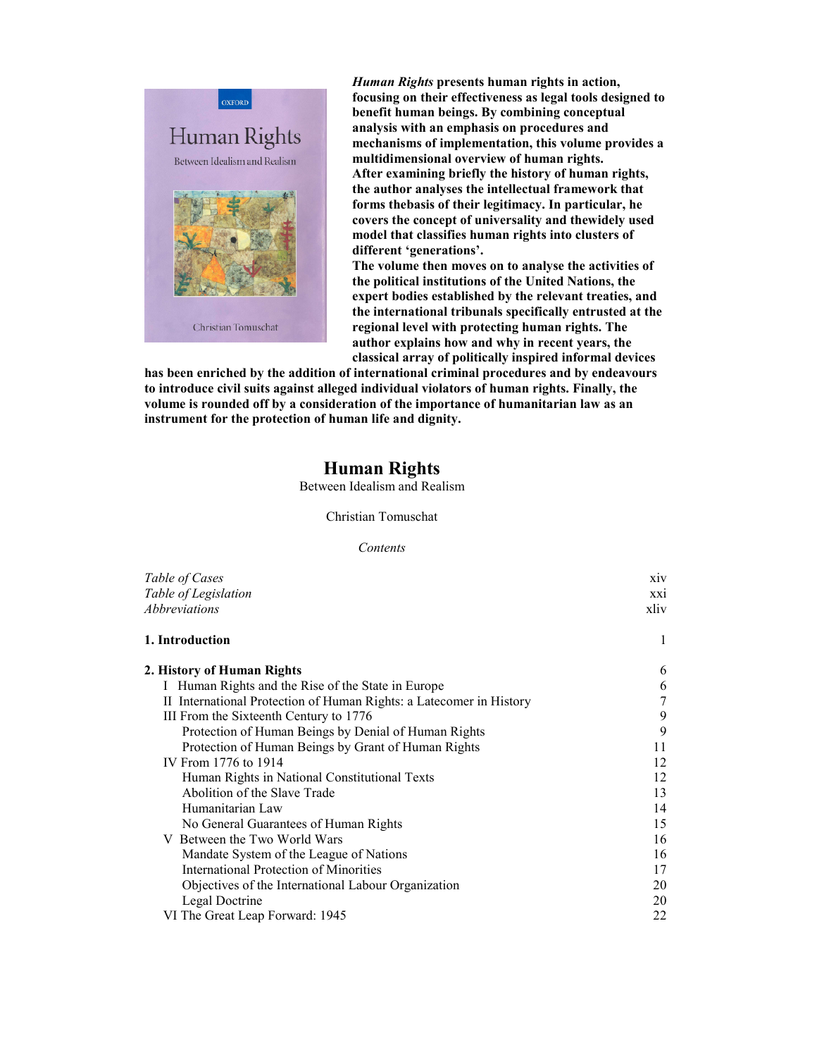

*Human Rights* **presents human rights in action, focusing on their effectiveness as legal tools designed to benefit human beings. By combining conceptual analysis with an emphasis on procedures and mechanisms of implementation, this volume provides a multidimensional overview of human rights. After examining briefly the history of human rights, the author analyses the intellectual framework that forms thebasis of their legitimacy. In particular, he covers the concept of universality and thewidely used model that classifies human rights into clusters of different 'generations'.**

**The volume then moves on to analyse the activities of the political institutions of the United Nations, the expert bodies established by the relevant treaties, and the international tribunals specifically entrusted at the regional level with protecting human rights. The author explains how and why in recent years, the classical array of politically inspired informal devices**

**has been enriched by the addition of international criminal procedures and by endeavours to introduce civil suits against alleged individual violators of human rights. Finally, the volume is rounded off by a consideration of the importance of humanitarian law as an instrument for the protection of human life and dignity.**

## **Human Rights**

Between Idealism and Realism

Christian Tomuschat

*Contents*

| Table of Cases                                                      | X <sub>1</sub> V |
|---------------------------------------------------------------------|------------------|
| Table of Legislation                                                |                  |
| Abbreviations                                                       | xliv             |
| 1. Introduction                                                     | 1                |
| 2. History of Human Rights                                          | 6                |
| I Human Rights and the Rise of the State in Europe                  | 6                |
| II International Protection of Human Rights: a Latecomer in History | 7                |
| III From the Sixteenth Century to 1776                              | 9                |
| Protection of Human Beings by Denial of Human Rights                | 9                |
| Protection of Human Beings by Grant of Human Rights                 | 11               |
| IV From 1776 to 1914                                                | 12               |
| Human Rights in National Constitutional Texts                       | 12               |
| Abolition of the Slave Trade                                        | 13               |
| Humanitarian Law                                                    | 14               |
| No General Guarantees of Human Rights                               | 15               |
| V Between the Two World Wars                                        | 16               |
| Mandate System of the League of Nations                             | 16               |
| <b>International Protection of Minorities</b>                       | 17               |
| Objectives of the International Labour Organization                 | 20               |
| Legal Doctrine                                                      | 20               |
| VI The Great Leap Forward: 1945                                     | 22               |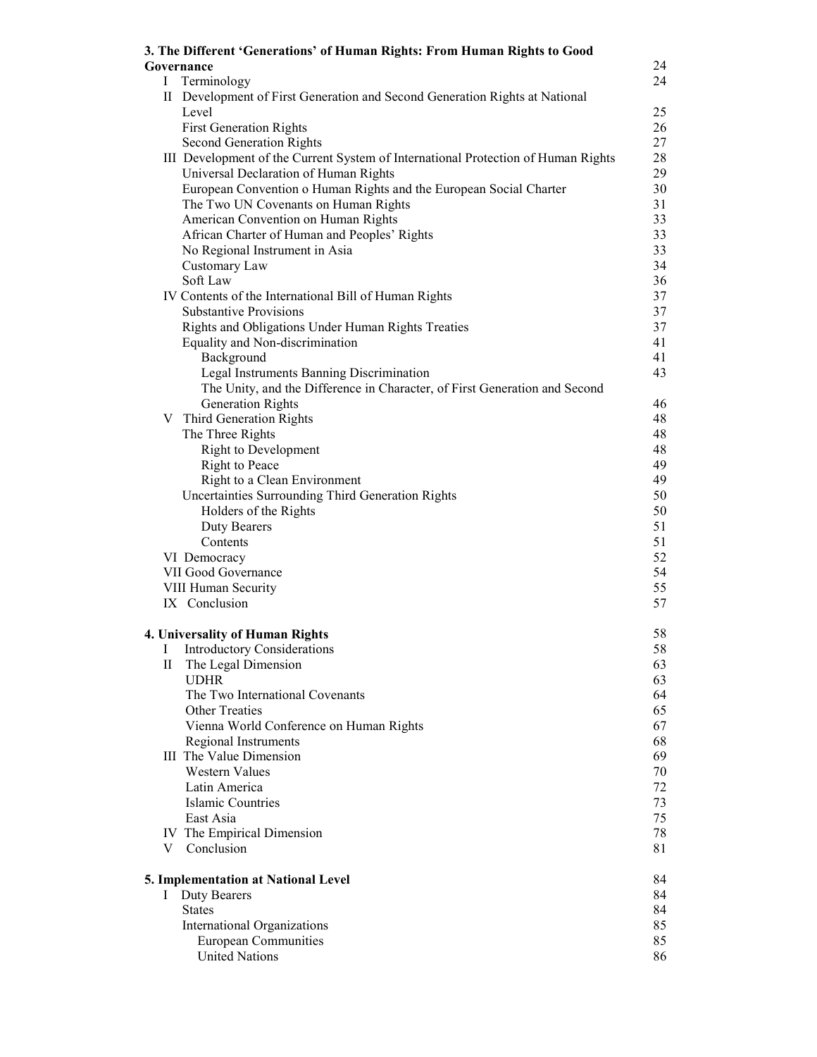|              | 3. The Different 'Generations' of Human Rights: From Human Rights to Good         |          |
|--------------|-----------------------------------------------------------------------------------|----------|
|              | Governance                                                                        | 24       |
| L            | Terminology                                                                       | 24       |
|              | II Development of First Generation and Second Generation Rights at National       |          |
|              | Level                                                                             | 25       |
|              | <b>First Generation Rights</b>                                                    | 26       |
|              | <b>Second Generation Rights</b>                                                   | 27       |
|              | III Development of the Current System of International Protection of Human Rights | 28       |
|              | Universal Declaration of Human Rights                                             | 29       |
|              | European Convention o Human Rights and the European Social Charter                | 30       |
|              | The Two UN Covenants on Human Rights                                              | 31       |
|              | American Convention on Human Rights                                               | 33       |
|              | African Charter of Human and Peoples' Rights                                      | 33       |
|              | No Regional Instrument in Asia                                                    | 33<br>34 |
|              | Customary Law<br>Soft Law                                                         | 36       |
|              | IV Contents of the International Bill of Human Rights                             | 37       |
|              | <b>Substantive Provisions</b>                                                     | 37       |
|              | Rights and Obligations Under Human Rights Treaties                                | 37       |
|              | Equality and Non-discrimination                                                   | 41       |
|              | Background                                                                        | 41       |
|              | Legal Instruments Banning Discrimination                                          | 43       |
|              | The Unity, and the Difference in Character, of First Generation and Second        |          |
|              | <b>Generation Rights</b>                                                          | 46       |
|              | V Third Generation Rights                                                         | 48       |
|              | The Three Rights                                                                  | 48       |
|              | <b>Right to Development</b>                                                       | 48       |
|              | Right to Peace                                                                    | 49       |
|              | Right to a Clean Environment                                                      | 49       |
|              | Uncertainties Surrounding Third Generation Rights                                 | 50       |
|              | Holders of the Rights                                                             | 50       |
|              | <b>Duty Bearers</b>                                                               | 51       |
|              | Contents                                                                          | 51       |
|              | VI Democracy                                                                      | 52       |
|              | VII Good Governance                                                               | 54       |
|              | VIII Human Security                                                               | 55       |
|              | IX Conclusion                                                                     | 57       |
|              | 4. Universality of Human Rights                                                   | 58       |
| Ι            | <b>Introductory Considerations</b>                                                | 58       |
| $\rm{II}$    | The Legal Dimension                                                               | 63       |
|              | <b>UDHR</b>                                                                       | 63       |
|              | The Two International Covenants                                                   | 64       |
|              | <b>Other Treaties</b>                                                             | 65       |
|              | Vienna World Conference on Human Rights                                           | 67       |
|              | Regional Instruments                                                              | 68       |
|              | III The Value Dimension                                                           | 69       |
|              | <b>Western Values</b>                                                             | 70       |
|              | Latin America                                                                     | 72       |
|              | <b>Islamic Countries</b>                                                          | 73       |
|              | East Asia                                                                         | 75       |
|              | IV The Empirical Dimension                                                        | 78       |
|              | V Conclusion                                                                      | 81       |
|              | 5. Implementation at National Level                                               | 84       |
| $\mathbf{I}$ | <b>Duty Bearers</b>                                                               | 84       |
|              | <b>States</b>                                                                     | 84       |
|              | International Organizations                                                       | 85       |
|              | <b>European Communities</b>                                                       | 85       |
|              | <b>United Nations</b>                                                             | 86       |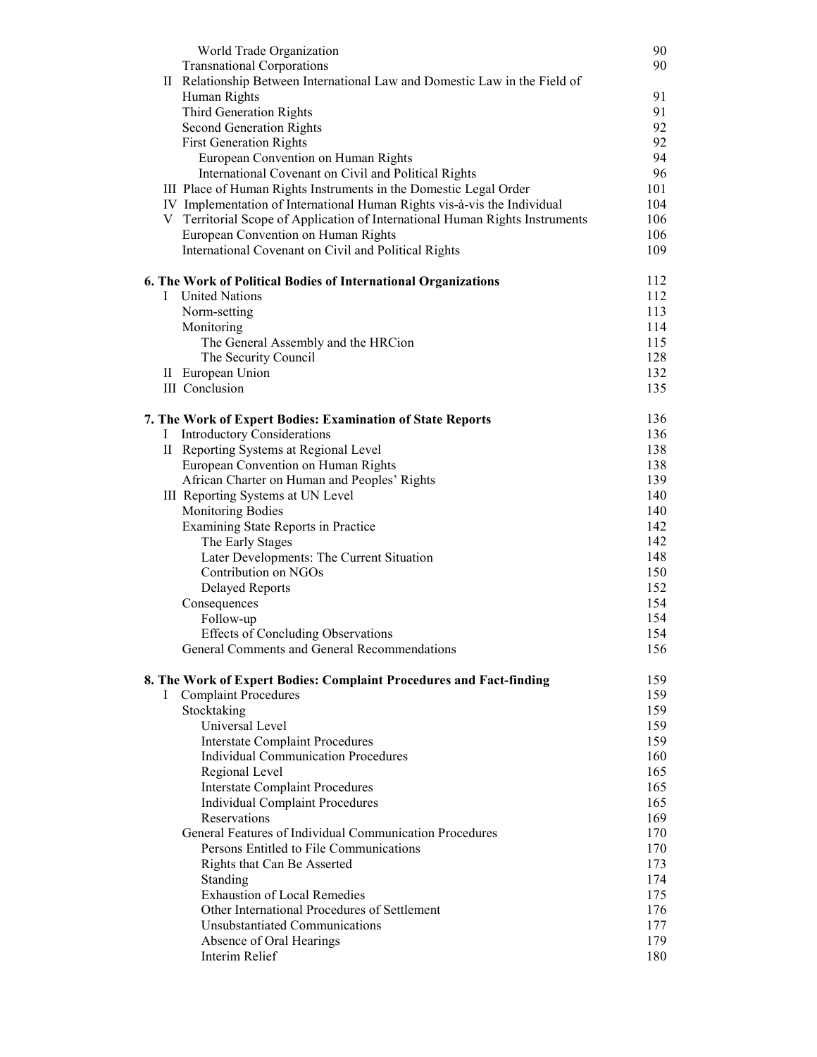|          | World Trade Organization                                                     | 90         |
|----------|------------------------------------------------------------------------------|------------|
|          | <b>Transnational Corporations</b>                                            | 90         |
|          | II Relationship Between International Law and Domestic Law in the Field of   |            |
|          | Human Rights                                                                 | 91         |
|          | Third Generation Rights                                                      | 91         |
|          | Second Generation Rights                                                     | 92         |
|          | <b>First Generation Rights</b>                                               | 92         |
|          | European Convention on Human Rights                                          | 94         |
|          | International Covenant on Civil and Political Rights                         | 96         |
|          | III Place of Human Rights Instruments in the Domestic Legal Order            | 101        |
|          | IV Implementation of International Human Rights vis-à-vis the Individual     | 104        |
|          | V Territorial Scope of Application of International Human Rights Instruments | 106        |
|          | European Convention on Human Rights                                          | 106        |
|          | International Covenant on Civil and Political Rights                         | 109        |
|          | 6. The Work of Political Bodies of International Organizations               | 112        |
| L        | <b>United Nations</b>                                                        | 112        |
|          | Norm-setting                                                                 | 113        |
|          | Monitoring                                                                   | 114        |
|          | The General Assembly and the HRCion                                          | 115        |
|          | The Security Council                                                         | 128        |
|          | II European Union                                                            | 132        |
|          | <b>III</b> Conclusion                                                        | 135        |
|          |                                                                              |            |
|          | 7. The Work of Expert Bodies: Examination of State Reports                   | 136        |
| $\Gamma$ | <b>Introductory Considerations</b>                                           | 136        |
|          | II Reporting Systems at Regional Level                                       | 138        |
|          | European Convention on Human Rights                                          | 138<br>139 |
|          | African Charter on Human and Peoples' Rights                                 | 140        |
|          | III Reporting Systems at UN Level<br><b>Monitoring Bodies</b>                | 140        |
|          |                                                                              | 142        |
|          | Examining State Reports in Practice<br>The Early Stages                      | 142        |
|          | Later Developments: The Current Situation                                    | 148        |
|          | Contribution on NGOs                                                         | 150        |
|          | <b>Delayed Reports</b>                                                       | 152        |
|          | Consequences                                                                 | 154        |
|          | Follow-up                                                                    | 154        |
|          | <b>Effects of Concluding Observations</b>                                    | 154        |
|          | General Comments and General Recommendations                                 | 156        |
|          |                                                                              |            |
|          | 8. The Work of Expert Bodies: Complaint Procedures and Fact-finding          | 159        |
| $\bf{l}$ | <b>Complaint Procedures</b>                                                  | 159        |
|          | Stocktaking                                                                  | 159        |
|          | Universal Level                                                              | 159        |
|          | <b>Interstate Complaint Procedures</b>                                       | 159        |
|          | <b>Individual Communication Procedures</b>                                   | 160        |
|          | Regional Level                                                               | 165        |
|          | <b>Interstate Complaint Procedures</b>                                       | 165        |
|          | <b>Individual Complaint Procedures</b><br>Reservations                       | 165<br>169 |
|          | General Features of Individual Communication Procedures                      | 170        |
|          | Persons Entitled to File Communications                                      | 170        |
|          | Rights that Can Be Asserted                                                  | 173        |
|          | Standing                                                                     | 174        |
|          | <b>Exhaustion of Local Remedies</b>                                          | 175        |
|          | Other International Procedures of Settlement                                 | 176        |
|          | <b>Unsubstantiated Communications</b>                                        | 177        |
|          | Absence of Oral Hearings                                                     | 179        |
|          | <b>Interim Relief</b>                                                        | 180        |
|          |                                                                              |            |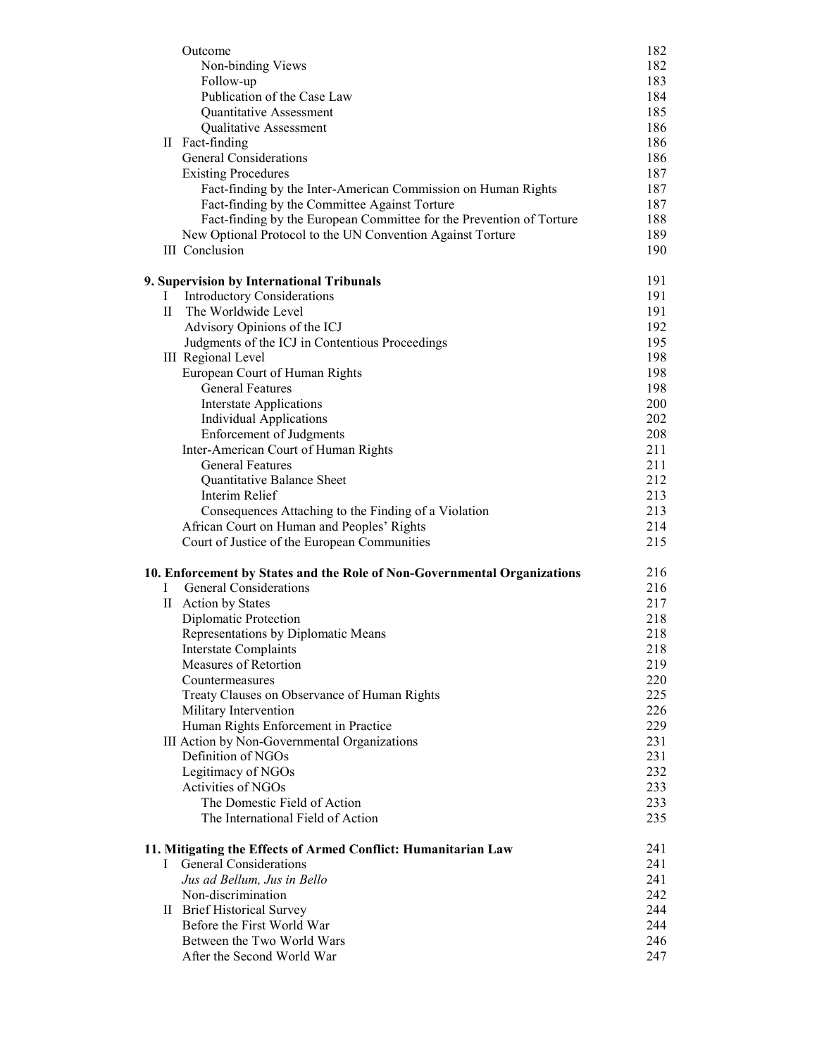|              | Outcome                                                                  | 182        |
|--------------|--------------------------------------------------------------------------|------------|
|              | Non-binding Views                                                        | 182        |
|              | Follow-up<br>Publication of the Case Law                                 | 183<br>184 |
|              | Quantitative Assessment                                                  | 185        |
|              | Qualitative Assessment                                                   | 186        |
|              | II Fact-finding                                                          | 186        |
|              | <b>General Considerations</b>                                            | 186        |
|              | <b>Existing Procedures</b>                                               | 187        |
|              | Fact-finding by the Inter-American Commission on Human Rights            | 187        |
|              | Fact-finding by the Committee Against Torture                            | 187        |
|              | Fact-finding by the European Committee for the Prevention of Torture     | 188        |
|              | New Optional Protocol to the UN Convention Against Torture               | 189        |
|              | <b>III</b> Conclusion                                                    | 190        |
|              | 9. Supervision by International Tribunals                                | 191        |
| T            | <b>Introductory Considerations</b>                                       | 191        |
| $\mathbf{H}$ | The Worldwide Level                                                      | 191        |
|              | Advisory Opinions of the ICJ                                             | 192        |
|              | Judgments of the ICJ in Contentious Proceedings                          | 195<br>198 |
|              | <b>III</b> Regional Level<br>European Court of Human Rights              | 198        |
|              | <b>General Features</b>                                                  | 198        |
|              | <b>Interstate Applications</b>                                           | 200        |
|              | <b>Individual Applications</b>                                           | 202        |
|              | <b>Enforcement of Judgments</b>                                          | 208        |
|              | Inter-American Court of Human Rights                                     | 211        |
|              | <b>General Features</b>                                                  | 211        |
|              | Quantitative Balance Sheet                                               | 212        |
|              | Interim Relief                                                           | 213        |
|              | Consequences Attaching to the Finding of a Violation                     | 213        |
|              | African Court on Human and Peoples' Rights                               | 214        |
|              | Court of Justice of the European Communities                             | 215        |
|              | 10. Enforcement by States and the Role of Non-Governmental Organizations | 216        |
| Ι            | <b>General Considerations</b>                                            | 216        |
|              | II Action by States                                                      | 217        |
|              | Diplomatic Protection                                                    | 218        |
|              | Representations by Diplomatic Means                                      | 218<br>218 |
|              | <b>Interstate Complaints</b><br>Measures of Retortion                    | 219        |
|              | Countermeasures                                                          | 220        |
|              | Treaty Clauses on Observance of Human Rights                             | 225        |
|              | Military Intervention                                                    | 226        |
|              | Human Rights Enforcement in Practice                                     | 229        |
|              | III Action by Non-Governmental Organizations                             | 231        |
|              | Definition of NGOs                                                       | 231        |
|              | Legitimacy of NGOs                                                       | 232        |
|              | Activities of NGOs                                                       | 233        |
|              | The Domestic Field of Action                                             | 233        |
|              | The International Field of Action                                        | 235        |
|              | 11. Mitigating the Effects of Armed Conflict: Humanitarian Law           | 241        |
| Ι            | General Considerations                                                   | 241        |
|              | Jus ad Bellum, Jus in Bello                                              | 241        |
|              | Non-discrimination                                                       | 242        |
|              | II Brief Historical Survey<br>Before the First World War                 | 244<br>244 |
|              | Between the Two World Wars                                               | 246        |
|              | After the Second World War                                               | 247        |
|              |                                                                          |            |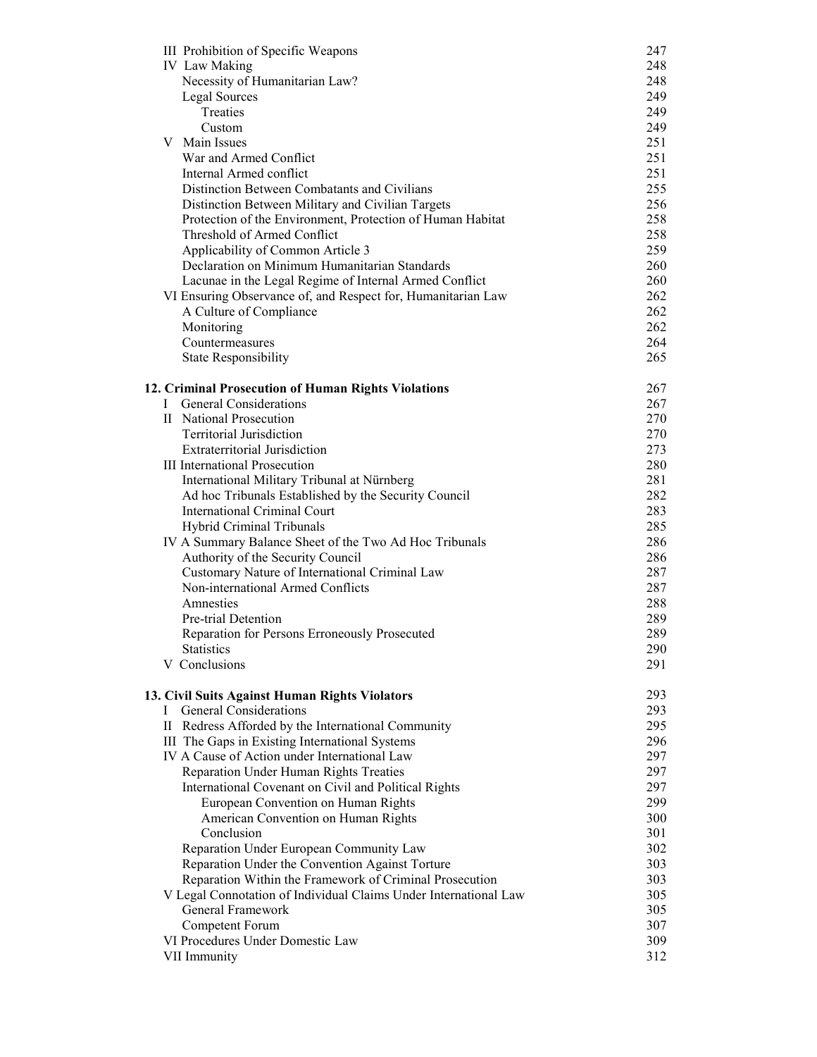|   | III Prohibition of Specific Weapons                                                 | 247 |  |
|---|-------------------------------------------------------------------------------------|-----|--|
|   | <b>IV</b> Law Making                                                                | 248 |  |
|   | Necessity of Humanitarian Law?                                                      | 248 |  |
|   | <b>Legal Sources</b>                                                                | 249 |  |
|   | Treaties                                                                            | 249 |  |
|   | Custom                                                                              | 249 |  |
|   | V Main Issues                                                                       | 251 |  |
|   | War and Armed Conflict                                                              | 251 |  |
|   | Internal Armed conflict                                                             | 251 |  |
|   | Distinction Between Combatants and Civilians                                        | 255 |  |
|   | Distinction Between Military and Civilian Targets                                   | 256 |  |
|   | Protection of the Environment, Protection of Human Habitat                          | 258 |  |
|   | Threshold of Armed Conflict                                                         | 258 |  |
|   | Applicability of Common Article 3                                                   | 259 |  |
|   | Declaration on Minimum Humanitarian Standards                                       | 260 |  |
|   | Lacunae in the Legal Regime of Internal Armed Conflict                              | 260 |  |
|   | VI Ensuring Observance of, and Respect for, Humanitarian Law                        | 262 |  |
|   | A Culture of Compliance                                                             | 262 |  |
|   | Monitoring                                                                          | 262 |  |
|   | Countermeasures                                                                     | 264 |  |
|   | <b>State Responsibility</b>                                                         | 265 |  |
|   |                                                                                     |     |  |
|   | 12. Criminal Prosecution of Human Rights Violations                                 | 267 |  |
|   | <b>General Considerations</b>                                                       | 267 |  |
|   | II National Prosecution                                                             | 270 |  |
|   | <b>Territorial Jurisdiction</b>                                                     | 270 |  |
|   | <b>Extraterritorial Jurisdiction</b>                                                | 273 |  |
|   | <b>III</b> International Prosecution                                                | 280 |  |
|   | International Military Tribunal at Nürnberg                                         | 281 |  |
|   | Ad hoc Tribunals Established by the Security Council                                | 282 |  |
|   | <b>International Criminal Court</b>                                                 | 283 |  |
|   | <b>Hybrid Criminal Tribunals</b>                                                    | 285 |  |
|   | IV A Summary Balance Sheet of the Two Ad Hoc Tribunals                              | 286 |  |
|   | Authority of the Security Council                                                   | 286 |  |
|   | Customary Nature of International Criminal Law<br>Non-international Armed Conflicts | 287 |  |
|   |                                                                                     | 287 |  |
|   | Amnesties                                                                           | 288 |  |
|   | Pre-trial Detention                                                                 | 289 |  |
|   | Reparation for Persons Erroneously Prosecuted                                       | 289 |  |
|   | <b>Statistics</b>                                                                   | 290 |  |
|   | V Conclusions                                                                       | 291 |  |
|   | 13. Civil Suits Against Human Rights Violators                                      | 293 |  |
| L | <b>General Considerations</b>                                                       | 293 |  |
|   | II Redress Afforded by the International Community                                  | 295 |  |
|   | III The Gaps in Existing International Systems                                      | 296 |  |
|   | IV A Cause of Action under International Law                                        | 297 |  |
|   | Reparation Under Human Rights Treaties                                              | 297 |  |
|   | International Covenant on Civil and Political Rights                                | 297 |  |
|   | European Convention on Human Rights                                                 | 299 |  |
|   | American Convention on Human Rights                                                 | 300 |  |
|   | Conclusion                                                                          | 301 |  |
|   | Reparation Under European Community Law                                             | 302 |  |
|   | Reparation Under the Convention Against Torture                                     | 303 |  |
|   | Reparation Within the Framework of Criminal Prosecution                             | 303 |  |
|   | V Legal Connotation of Individual Claims Under International Law                    | 305 |  |
|   | General Framework                                                                   | 305 |  |
|   | Competent Forum                                                                     | 307 |  |
|   | VI Procedures Under Domestic Law                                                    | 309 |  |
|   | VII Immunity                                                                        | 312 |  |